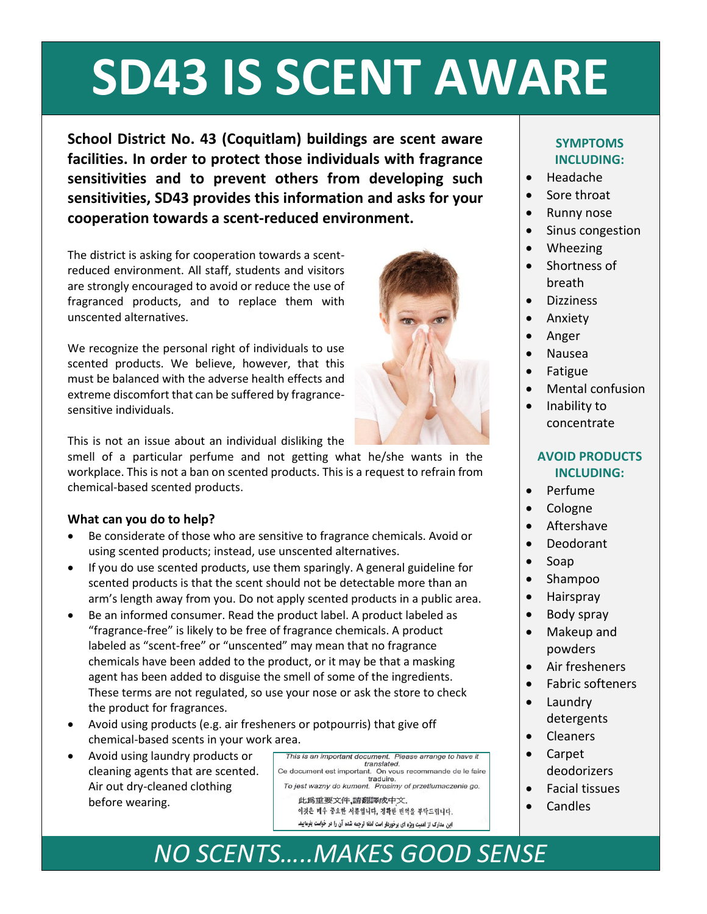# **SD43 IS SCENT AWARE**

**School District No. 43 (Coquitlam) buildings are scent aware facilities. In order to protect those individuals with fragrance sensitivities and to prevent others from developing such sensitivities, SD43 provides this information and asks for your cooperation towards a scent-reduced environment.**

The district is asking for cooperation towards a scentreduced environment. All staff, students and visitors are strongly encouraged to avoid or reduce the use of fragranced products, and to replace them with unscented alternatives.

We recognize the personal right of individuals to use scented products. We believe, however, that this must be balanced with the adverse health effects and extreme discomfort that can be suffered by fragrancesensitive individuals.

This is not an issue about an individual disliking the

smell of a particular perfume and not getting what he/she wants in the workplace. This is not a ban on scented products. This is a request to refrain from chemical-based scented products.

#### **What can you do to help?**

- Be considerate of those who are sensitive to fragrance chemicals. Avoid or using scented products; instead, use unscented alternatives.
- If you do use scented products, use them sparingly. A general guideline for scented products is that the scent should not be detectable more than an arm's length away from you. Do not apply scented products in a public area.
- Be an informed consumer. Read the product label. A product labeled as "fragrance-free" is likely to be free of fragrance chemicals. A product labeled as "scent-free" or "unscented" may mean that no fragrance chemicals have been added to the product, or it may be that a masking agent has been added to disguise the smell of some of the ingredients. These terms are not regulated, so use your nose or ask the store to check the product for fragrances.
- Avoid using products (e.g. air fresheners or potpourris) that give off chemical-based scents in your work area.
- Avoid using laundry products or cleaning agents that are scented. Air out dry-cleaned clothing before wearing.

This is an important document. Please arrange to have it translated. Ce document est important. On vous recommande de le faire traduire. To jest wazny do kument. Prosimy of przetlumaczenie go. 此爲重要文件,請翻譯成中文. 이것은 매우 중요한 서류입니다, 정확한 빈역을 부탁드립니다. این مدارک از اهمیت ویژه ای برخوردار است لطفا ترجمه شده آن را در خواست پفرمایید.

### **SYMPTOMS INCLUDING:**

- Headache
- Sore throat
- Runny nose
- Sinus congestion
- Wheezing
- Shortness of breath
- Dizziness
- Anxiety
- Anger
- Nausea
- Fatigue
- Mental confusion
- Inability to concentrate

#### **AVOID PRODUCTS INCLUDING:**

- Perfume
- Cologne
- Aftershave
- Deodorant
- Soap
- Shampoo
- Hairspray
- Body spray
- Makeup and powders
- Air fresheners
- Fabric softeners
- Laundry detergents
- Cleaners
- Carpet deodorizers
- Facial tissues
- Candles

# *NO SCENTS…..MAKES GOOD SENSE*